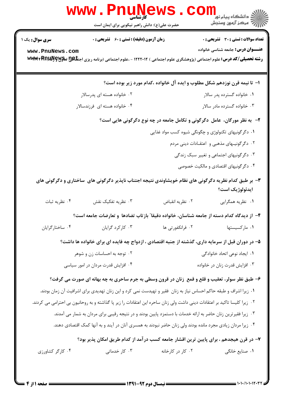|                                                     | <b>WWW</b><br>حضرت علی(ع): دانش راهبر نیکویی برای ایمان است                                                               |                                                                            | ڪ دانشڪاه پيا <sub>م</sub> نور<br><mark>ر</mark> 7 مرڪز آزمون وسنڊش |  |
|-----------------------------------------------------|---------------------------------------------------------------------------------------------------------------------------|----------------------------------------------------------------------------|---------------------------------------------------------------------|--|
| <b>سری سوال :</b> یک ۱                              | زمان آزمون (دقیقه) : تستی : 60 ٪ تشریحی : 0                                                                               |                                                                            | <b>تعداد سوالات : تستی : 30 - تشریحی : 0</b>                        |  |
| www.PnuNews.com                                     | رشته تحصیلی/کد درس: علوم اجتماعی (پژوهشگری علوم اجتماعی ) ۱۲۲۲۰۱۲ - ،علوم اجتماعی (برنامه ریزی اجتلگل تنگلاتا www:RRRW    |                                                                            | <b>عنـــوان درس:</b> جامعه شناسی خانواده                            |  |
|                                                     |                                                                                                                           | ا– تا نیمه قرن نوزدهم شکل مطلوب و ایده آل خانواده ،کدام مورد زیر بوده است؟ |                                                                     |  |
|                                                     | ۰۲ خانواده هسته ای پدرسالار                                                                                               |                                                                            | ۰۱ خانواده گسترده پدر سالار                                         |  |
|                                                     | ۰۴ خانواده هسته ای فرزندسالار                                                                                             |                                                                            | ۰۳ خانواده گسترده مادر سالار                                        |  |
|                                                     | ۲- به نظر مورگان، عامل دگرگونی و تکامل جامعه در چه نوع دگرگونی هایی است؟                                                  |                                                                            |                                                                     |  |
| ۰۱ دگرگونیهای تکنولوژی و چگونگی شیوه کسب مواد غذایی |                                                                                                                           |                                                                            |                                                                     |  |
|                                                     |                                                                                                                           |                                                                            | ۰۲ دگرگونیـهای مذهبی و اعتقـادات دینی مردم                          |  |
| ۰۳ دگرگونیهای اجتماعی و تغییر سبک زندگی             |                                                                                                                           |                                                                            |                                                                     |  |
|                                                     |                                                                                                                           |                                                                            | ۰۴ دگرگونیهای اقتصادی و مالکیت خصوصی                                |  |
|                                                     | ۳- بر طبق کدام نظریه دگرگونی های نظام خویشاوندی نتیجه اجتناب ناپذیر دگرگونی های ساختاری و دگرگونی های                     |                                                                            | ايدئولوژيک است؟                                                     |  |
| ۰۴ نظريه ثبات                                       | ۰۳ نظریه تفکیک نقش                                                                                                        | ٠٢ نظريه انقباض                                                            | ۰۱ نظریه همگرایی                                                    |  |
|                                                     | ۴– از دیدگاه کدام دسته از جامعه شناسان، خانواده دقیقا ّ بازتاب تضادها و تعارضات جامعه است؟                                |                                                                            |                                                                     |  |
| ۰۴ ساختارگرايان                                     | ۰۳ کارکرد گرایان                                                                                                          | ۰۲ فرانکفورتی ها                                                           | ٠١ ماركسيستها                                                       |  |
|                                                     | ۵– در دوران قبل از سرمایه داری، گذشته از جنبه اقتصادی ، ازدواج چه فایده ای برای خانواده ها داشت؟                          |                                                                            |                                                                     |  |
| ۰۲ توجه به احساسات زن و شوهر                        |                                                                                                                           | ۰۱ ایجاد نوعی اتحاد خانوادگی                                               |                                                                     |  |
| ۰۴ افزایش قدرت مردان در امور سیاسی                  |                                                                                                                           |                                                                            | ۰۳ افزایش قدرت زنان در خانواده                                      |  |
|                                                     | ۶- طبق نظر سولر، تعقیب و قلع و قمع ً زنان در قرون وسطی به جرم ساحری به چه بهانه ای صورت می گرفت؟                          |                                                                            |                                                                     |  |
|                                                     | ۰۱ زیرا اشراف و طبقه حاکم احساس نیاز به زنان ًفقیر و تهیدست نمی کرد و این زنان تهدیدی برای اشرافیت آن زمان بودند.         |                                                                            |                                                                     |  |
|                                                     | ۰۲ زیرا کلیسا تاکید بر اعتقادات دینی داشت ولی زنان ساحره این اعتقادات را زیر پا گذاشته و به روحانیون بی احترامی می کردند. |                                                                            |                                                                     |  |
|                                                     | ۰۳ زیرا فقیرترین زنان حاضر به ارائه خدمات با دستمزد پایین بودند و در نتیجه رقیبی برای مردان به شمار می آمدند.             |                                                                            |                                                                     |  |
|                                                     | ۰۴ زیرا مردان زیادی مجرد مانده بودند ولی زنان حاضر نبودند به همسری آنان در آیند و به آنها کمک اقتصادی دهند.               |                                                                            |                                                                     |  |
|                                                     | ۷– در قرن هیجدهم ، برای پایین ترین اقشار جامعه کسب در آمد از کدام طریق امکان پذیر بود؟                                    |                                                                            |                                                                     |  |
| ۰۴ کارگر کشاورزی                                    | ۰۳ کار خدماتی                                                                                                             | ۰۲ کار در کارخانه                                                          | ٠١. صنايع خانگي                                                     |  |
|                                                     |                                                                                                                           |                                                                            |                                                                     |  |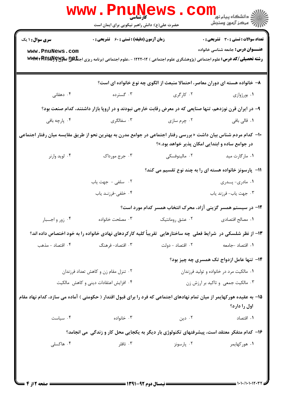| <b>سری سوال : ۱ یک</b>                | <b>زمان آزمون (دقیقه) : تستی : 60 ٪ تشریحی : 0</b>                                                                       |                                                                               | <b>تعداد سوالات : تستی : 30 ٪ تشریحی : 0</b> |
|---------------------------------------|--------------------------------------------------------------------------------------------------------------------------|-------------------------------------------------------------------------------|----------------------------------------------|
| www.PnuNews.com                       | رشته تحصیلی/کد درس: علوم اجتماعی (پژوهشگری علوم اجتماعی ) ۱۲۲۲۰۱۲ - ،علوم اجتماعی (برنامه ریزی اجتلگها تعکولا www:Rnuyey |                                                                               | <b>عنـــوان درس:</b> جامعه شناسی خانواده     |
|                                       |                                                                                                                          | ۸– خانواده هسته ای دوران معاصر، احتمالا منبعث از الگوی چه نوع خانواده ای است؟ |                                              |
| ۰۴ دهقانی                             |                                                                                                                          | ۲. کارگری مسترده                                                              | ۰۱ بورژوازی                                  |
|                                       | ۹- در ایران قرن نوزدهم، تنها صنایعی که در معرض رقابت خارجی نبودند و در اروپا بازار داشتند، کدام صنعت بود؟                |                                                                               |                                              |
| ۰۴ پارچه بافی                         | ۰۳ سفالگری                                                                                                               | ۰۲ چرم سازی                                                                   | ۰۱ قالی بافی                                 |
|                                       | +ا– کدام مردم شناس بیان داشت « بررسی رفتار اجتماعی در جوامع مدرن به بهترین نحو از طریق مقایسه میان رفتار اجتماعی         | در جوامع ساده و ابتدایی امکان پذیر خواهد بود.»؟                               |                                              |
| ۰۴ لوید وارنر                         | ۰۳ جرج مورداک                                                                                                            | ۰۲ مالینوفسکی                                                                 | ۰۱ مارگارت مید                               |
|                                       |                                                                                                                          | 11- پارسونز خانواده هسته ای را به چند نوع تقسیم می کند؟                       |                                              |
|                                       | ۲. سلفی - جهت یاب                                                                                                        |                                                                               | ۰۱ مادری- پــدری                             |
|                                       | ۰۴ خلفي-فرزنـد ياب                                                                                                       |                                                                               | ۰۳ جهت ياب- فرزند ياب                        |
|                                       |                                                                                                                          | ۱۲- در سیستم همسر گزینی آزاد، محرک انتخاب همسر کدام مورد است؟                 |                                              |
| ۰۴ زور و اجـــبار                     | ۰۳ مصلحت خانواده                                                                                                         | ۰۲ عشق رومانتیک                                                               | ۰۱ مصالح اقتصادی                             |
|                                       | ۱۳- از نظر شلسکی در  شرایط فعلی چه ساختارهایی  تقریباً کلیه کارکردهای نهادی خانواده را به خود اختصاص داده اند؟           |                                                                               |                                              |
| ۰۴ اقتصاد - مذهب                      | ۰۳ اقتصاد- فرهنگ                                                                                                         | ۰۲ اقتصاد - دولت                                                              | ۰۱ اقتصاد -جامعه                             |
|                                       |                                                                                                                          |                                                                               | ۱۴- تنها عامل ازدواج تک همسری چه چیز بود؟    |
| ۰۲ تنزل مقام زن و کاهش تعداد فرزندان  |                                                                                                                          |                                                                               | ۰۱ مالکیت مرد در خانواده و تولید فرزندان     |
| ۰۴ افزایش اعتقادات دینی و کاهش مالکیت |                                                                                                                          | ۰۳ مالکیت جمعی و تاکید بر ارزش زن                                             |                                              |
|                                       | ۱۵– به عقیده هورکهایمر از میان تمام نهادهای اجتماعی که فرد را برای قبول اقتدار ( حکومتی ) آماده می سازد، کدام نهاد مقام  |                                                                               | اول را دارد؟                                 |
| ۰۴ سیاست                              | ۰۳ خانواده                                                                                                               | ۰۲ دین                                                                        | ٠١. اقتصاد                                   |
|                                       | ۱۶– کدام متفکر معتقد است، پیشرفتهای تکنولوژی بار دیگر به یکجایی محل کار و زندگی ًمی انجامد؟                              |                                                                               |                                              |
| ۰۴ هاکسلی                             | ۰۳ تافلر                                                                                                                 | ۰۲ پارسونز                                                                    | ۰۱ هورکهایمر                                 |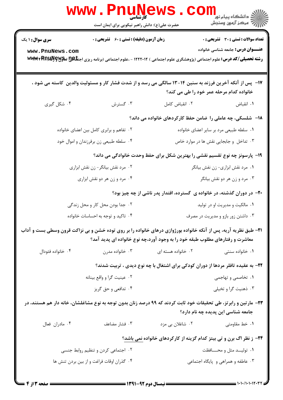|                                           | <b>www.PnuNews</b><br><b>کارشناسی</b><br>حضرت علی(ع): دانش راهبر نیکویی برای ایمان است                                                                                                                    |                                  | ر دانشگاه پيام نور <mark>− .</mark><br>ارا≪ مرکز آزمون وسنجش                             |  |
|-------------------------------------------|-----------------------------------------------------------------------------------------------------------------------------------------------------------------------------------------------------------|----------------------------------|------------------------------------------------------------------------------------------|--|
| <b>سری سوال : ۱ یک</b><br>www.PnuNews.com | <b>زمان آزمون (دقیقه) : تستی : 60 ٪ تشریحی : 0</b><br><b>رشته تحصیلی/کد درس:</b> علوم اجتماعی (پژوهشگری علوم اجتماعی ) ۱۲۲۲۰۱۲ - ،علوم اجتماعی (برنامه ریزی اجت <b>تاگی تنگوی WWW ، RRRUS</b> J <b>GW</b> |                                  | <b>تعداد سوالات : تستی : 30 ٪ تشریحی : 0</b><br><b>عنـــوان درس:</b> جامعه شناسی خانواده |  |
|                                           | ۱۷– پس از آنکه آخرین فرزند به سنین ۱۴–۱۳ سالگی می رسد و از شدت فشار کار و مسئولیت والدین کاسته می شود ،                                                                                                   |                                  | خانواده کدام مرحله عمر خود را طی می کند؟                                                 |  |
| ۰۴ شکل گیری                               | ۰۳ گسترش                                                                                                                                                                                                  | ٠٢ انقباض كامل                   | ٠١. انقباض                                                                               |  |
|                                           |                                                                                                                                                                                                           |                                  | ۱۸– شلسکی، چه عاملی را ضامن حفظ کارکردهای خانواده می داند؟                               |  |
|                                           | ۰۲ تفاهم و برابری کامل بین اعضای خانواده                                                                                                                                                                  |                                  | ۰۱ سلطه طبیعی مرد بر سایر اعضای خانواده                                                  |  |
| ۰۴ سلطه طبیعی زن برفرزندان و اموال خود    |                                                                                                                                                                                                           |                                  | ۰۳ تداخل و جابجایی نقش ها در موارد خاص                                                   |  |
|                                           |                                                                                                                                                                                                           |                                  | ۱۹- پارسونز چه نوع تقسیم نقشی را بهترین شکل برای حفظ وحدت خانوادگی می داند؟              |  |
| ۰۲ مرد نقش بیانگر- زن نقش ابزاری          |                                                                                                                                                                                                           | ۰۱ مرد نقش ابزاري- زن نفش بيانگر |                                                                                          |  |
| ۰۴ مرد و زن هر دو نقش ابزاری              |                                                                                                                                                                                                           |                                  | ۰۳ مرد و زن هر دو نقش بیانگر                                                             |  |
|                                           |                                                                                                                                                                                                           |                                  | +۲- در دوران گذشته، در خانواده ی گسترده، اقتدار پدر ناشی از چه چیز بود؟                  |  |
|                                           | ۰۲ جدا بودن محل کار و محل زندگی                                                                                                                                                                           |                                  | ۰۱ مالکیت و مدیریت او در تولید                                                           |  |
|                                           | ۰۴ تاکید و توجه به احساسات خانواده                                                                                                                                                                        |                                  | ۰۳ داشتن زور بازو و مدیریت در مصرف                                                       |  |
|                                           | ۲۱– طبق نظریه آریه، پس از آنکه خانواده بورژوازی درهای خانواده را بر روی توده خشن و بی نزاکت قرون وسطی بست و آداب<br>معاشرت و رفتارهای مطلوب طبقه خود را به وجود آورد،چه نوع خانواده ای پدید آمد؟          |                                  |                                                                                          |  |
| ۰۴ خانواده فئودال                         | ۰۳ خانواده مدرن                                                                                                                                                                                           | ۰۲ خانواده هسته ای               | ۰۱ خانواده سنتی                                                                          |  |
|                                           |                                                                                                                                                                                                           |                                  | ۲۲- به عقیده تافلر مردها از دوران کودکی برای اشتغال با چه نوع دیدی ، تربیت شدند؟         |  |
|                                           | ۰۲ عینیت گرا و واقع بینانه                                                                                                                                                                                |                                  | ۰۱ تخاصمي و تهاجمي                                                                       |  |
|                                           | ۰۴ تدافعي و حق گريز                                                                                                                                                                                       |                                  | ۰۳ ذهنيت گرا و تخيلي                                                                     |  |
|                                           | ۲۳– مارتین و رابرتز، طی تحقیقات خود ثابت کردند که ۹۹ درصد زنان بدون توجه به نوع مشاغلشان، خانه دار هم هستند، در                                                                                           |                                  | جامعه شناسی این پدیده چه نام دارد؟                                                       |  |
| ۰۴ مادران فعال                            | ۰۳ فشار مضاعف                                                                                                                                                                                             | ۲. شاغلان بی مزد                 | ۰۱ خط مقاومتی                                                                            |  |
|                                           |                                                                                                                                                                                                           |                                  | <b>۲۴</b> - ز نظر اگ برن و تی بیتز کدام گزینه از کارکردهای خانواده <u>نمی</u> باشد؟      |  |
| ۰۲ اجتماعی کردن و تنظیم روابط جنسی        |                                                                                                                                                                                                           |                                  | ٠١ توليـد مثل و محــافظت                                                                 |  |
|                                           | ۰۴ گذران اوقات فراغت و از بین بردن تنش ها                                                                                                                                                                 |                                  | ۰۳ عاطفه و همراهی و پایگاه اجتماعی                                                       |  |
|                                           |                                                                                                                                                                                                           |                                  |                                                                                          |  |

1.1./1.1.12.1